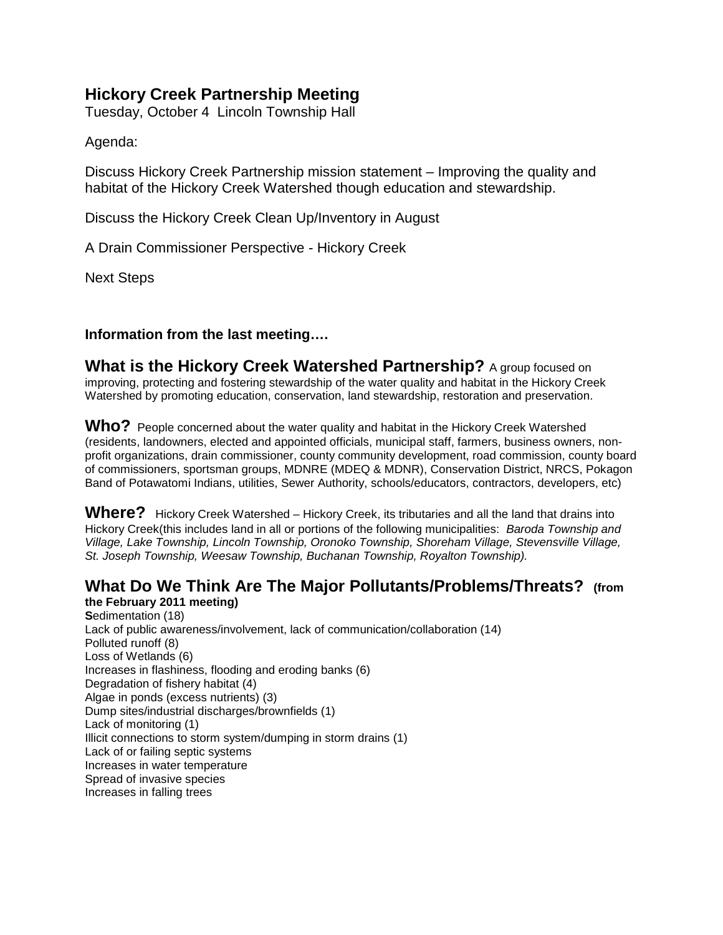# **Hickory Creek Partnership Meeting**

Tuesday, October 4 Lincoln Township Hall

Agenda:

Discuss Hickory Creek Partnership mission statement – Improving the quality and habitat of the Hickory Creek Watershed though education and stewardship.

Discuss the Hickory Creek Clean Up/Inventory in August

A Drain Commissioner Perspective - Hickory Creek

Next Steps

### **Information from the last meeting….**

**What is the Hickory Creek Watershed Partnership?** A group focused on improving, protecting and fostering stewardship of the water quality and habitat in the Hickory Creek Watershed by promoting education, conservation, land stewardship, restoration and preservation.

Who? People concerned about the water quality and habitat in the Hickory Creek Watershed (residents, landowners, elected and appointed officials, municipal staff, farmers, business owners, nonprofit organizations, drain commissioner, county community development, road commission, county board of commissioners, sportsman groups, MDNRE (MDEQ & MDNR), Conservation District, NRCS, Pokagon Band of Potawatomi Indians, utilities, Sewer Authority, schools/educators, contractors, developers, etc)

Where? Hickory Creek Watershed – Hickory Creek, its tributaries and all the land that drains into Hickory Creek(this includes land in all or portions of the following municipalities: *Baroda Township and Village, Lake Township, Lincoln Township, Oronoko Township, Shoreham Village, Stevensville Village, St. Joseph Township, Weesaw Township, Buchanan Township, Royalton Township).*

# **What Do We Think Are The Major Pollutants/Problems/Threats? (from**

**the February 2011 meeting) S**edimentation (18) Lack of public awareness/involvement, lack of communication/collaboration (14) Polluted runoff (8) Loss of Wetlands (6) Increases in flashiness, flooding and eroding banks (6) Degradation of fishery habitat (4) Algae in ponds (excess nutrients) (3) Dump sites/industrial discharges/brownfields (1) Lack of monitoring (1) Illicit connections to storm system/dumping in storm drains (1) Lack of or failing septic systems Increases in water temperature Spread of invasive species Increases in falling trees